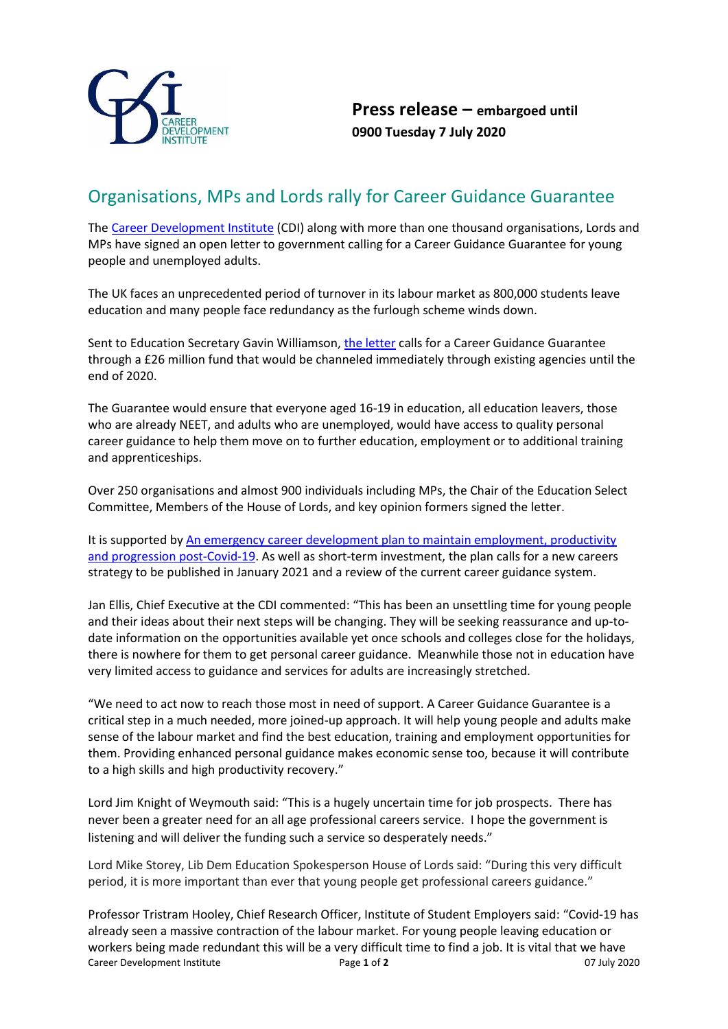

## Organisations, MPs and Lords rally for Career Guidance Guarantee

The [Career Development Institute](https://www.thecdi.net/Home) (CDI) along with more than one thousand organisations, Lords and MPs have signed an open letter to government calling for a Career Guidance Guarantee for young people and unemployed adults.

The UK faces an unprecedented period of turnover in its labour market as 800,000 students leave education and many people face redundancy as the furlough scheme winds down.

Sent to Education Secretary Gavin Williamson[, the letter](https://www.thecdi.net/write/Open_Letter_Career_Guidance_Guarantee-signed-all-signatures-final.pdf) calls for a Career Guidance Guarantee through a £26 million fund that would be channeled immediately through existing agencies until the end of 2020.

The Guarantee would ensure that everyone aged 16-19 in education, all education leavers, those who are already NEET, and adults who are unemployed, would have access to quality personal career guidance to help them move on to further education, employment or to additional training and apprenticeships.

Over 250 organisations and almost 900 individuals including MPs, the Chair of the Education Select Committee, Members of the House of Lords, and key opinion formers signed the letter.

It is supported by [An emergency career development plan to maintain employment, productivity](https://www.thecdi.net/write/An_emergency_career_development_plan_to_maintain_productivity_and_progression_post-Covid-19_CDPG.pdf)  [and progression post-Covid-19.](https://www.thecdi.net/write/An_emergency_career_development_plan_to_maintain_productivity_and_progression_post-Covid-19_CDPG.pdf) As well as short-term investment, the plan calls for a new careers strategy to be published in January 2021 and a review of the current career guidance system.

Jan Ellis, Chief Executive at the CDI commented: "This has been an unsettling time for young people and their ideas about their next steps will be changing. They will be seeking reassurance and up-todate information on the opportunities available yet once schools and colleges close for the holidays, there is nowhere for them to get personal career guidance. Meanwhile those not in education have very limited access to guidance and services for adults are increasingly stretched.

"We need to act now to reach those most in need of support. A Career Guidance Guarantee is a critical step in a much needed, more joined-up approach. It will help young people and adults make sense of the labour market and find the best education, training and employment opportunities for them. Providing enhanced personal guidance makes economic sense too, because it will contribute to a high skills and high productivity recovery."

Lord Jim Knight of Weymouth said: "This is a hugely uncertain time for job prospects. There has never been a greater need for an all age professional careers service. I hope the government is listening and will deliver the funding such a service so desperately needs."

Lord Mike Storey, Lib Dem Education Spokesperson House of Lords said: "During this very difficult period, it is more important than ever that young people get professional careers guidance."

Career Development Institute Page **1** of **2** 07 July 2020 Professor Tristram Hooley, Chief Research Officer, Institute of Student Employers said: "Covid-19 has already seen a massive contraction of the labour market. For young people leaving education or workers being made redundant this will be a very difficult time to find a job. It is vital that we have